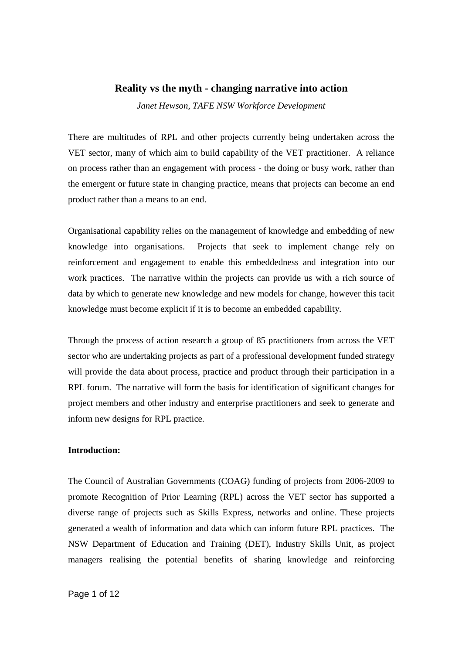## **Reality vs the myth - changing narrative into action**

*Janet Hewson, TAFE NSW Workforce Development* 

There are multitudes of RPL and other projects currently being undertaken across the VET sector, many of which aim to build capability of the VET practitioner. A reliance on process rather than an engagement with process - the doing or busy work, rather than the emergent or future state in changing practice, means that projects can become an end product rather than a means to an end.

Organisational capability relies on the management of knowledge and embedding of new knowledge into organisations. Projects that seek to implement change rely on reinforcement and engagement to enable this embeddedness and integration into our work practices. The narrative within the projects can provide us with a rich source of data by which to generate new knowledge and new models for change, however this tacit knowledge must become explicit if it is to become an embedded capability.

Through the process of action research a group of 85 practitioners from across the VET sector who are undertaking projects as part of a professional development funded strategy will provide the data about process, practice and product through their participation in a RPL forum. The narrative will form the basis for identification of significant changes for project members and other industry and enterprise practitioners and seek to generate and inform new designs for RPL practice.

### **Introduction:**

The Council of Australian Governments (COAG) funding of projects from 2006-2009 to promote Recognition of Prior Learning (RPL) across the VET sector has supported a diverse range of projects such as Skills Express, networks and online. These projects generated a wealth of information and data which can inform future RPL practices. The NSW Department of Education and Training (DET), Industry Skills Unit, as project managers realising the potential benefits of sharing knowledge and reinforcing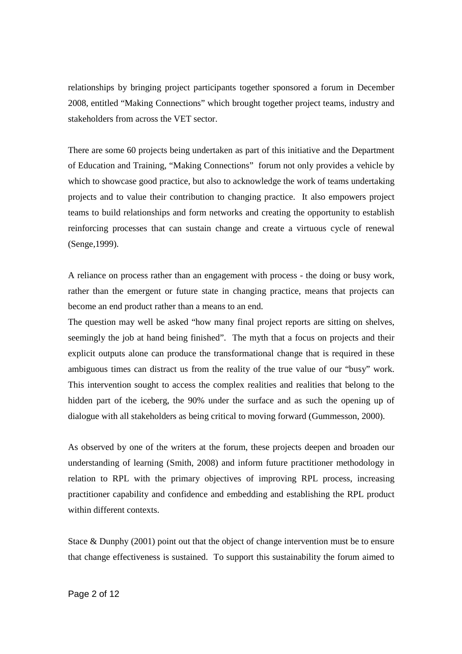relationships by bringing project participants together sponsored a forum in December 2008, entitled "Making Connections" which brought together project teams, industry and stakeholders from across the VET sector.

There are some 60 projects being undertaken as part of this initiative and the Department of Education and Training, "Making Connections" forum not only provides a vehicle by which to showcase good practice, but also to acknowledge the work of teams undertaking projects and to value their contribution to changing practice. It also empowers project teams to build relationships and form networks and creating the opportunity to establish reinforcing processes that can sustain change and create a virtuous cycle of renewal (Senge,1999).

A reliance on process rather than an engagement with process - the doing or busy work, rather than the emergent or future state in changing practice, means that projects can become an end product rather than a means to an end.

The question may well be asked "how many final project reports are sitting on shelves, seemingly the job at hand being finished". The myth that a focus on projects and their explicit outputs alone can produce the transformational change that is required in these ambiguous times can distract us from the reality of the true value of our "busy" work. This intervention sought to access the complex realities and realities that belong to the hidden part of the iceberg, the 90% under the surface and as such the opening up of dialogue with all stakeholders as being critical to moving forward (Gummesson, 2000).

As observed by one of the writers at the forum, these projects deepen and broaden our understanding of learning (Smith, 2008) and inform future practitioner methodology in relation to RPL with the primary objectives of improving RPL process, increasing practitioner capability and confidence and embedding and establishing the RPL product within different contexts.

Stace & Dunphy (2001) point out that the object of change intervention must be to ensure that change effectiveness is sustained. To support this sustainability the forum aimed to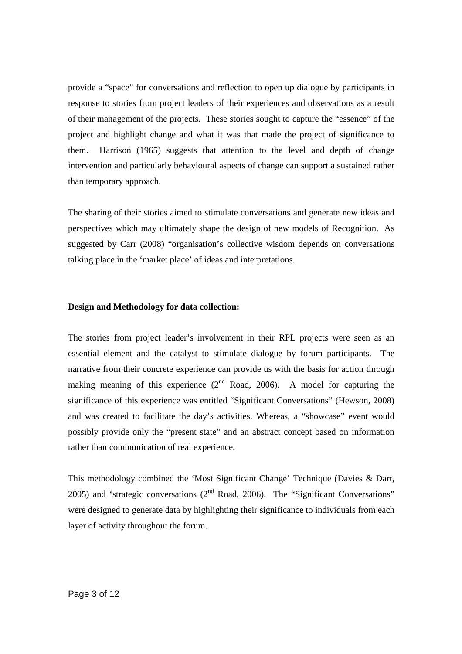provide a "space" for conversations and reflection to open up dialogue by participants in response to stories from project leaders of their experiences and observations as a result of their management of the projects. These stories sought to capture the "essence" of the project and highlight change and what it was that made the project of significance to them. Harrison (1965) suggests that attention to the level and depth of change intervention and particularly behavioural aspects of change can support a sustained rather than temporary approach.

The sharing of their stories aimed to stimulate conversations and generate new ideas and perspectives which may ultimately shape the design of new models of Recognition. As suggested by Carr (2008) "organisation's collective wisdom depends on conversations talking place in the 'market place' of ideas and interpretations.

#### **Design and Methodology for data collection:**

The stories from project leader's involvement in their RPL projects were seen as an essential element and the catalyst to stimulate dialogue by forum participants. The narrative from their concrete experience can provide us with the basis for action through making meaning of this experience  $(2^{nd}$  Road, 2006). A model for capturing the significance of this experience was entitled "Significant Conversations" (Hewson, 2008) and was created to facilitate the day's activities. Whereas, a "showcase" event would possibly provide only the "present state" and an abstract concept based on information rather than communication of real experience.

This methodology combined the 'Most Significant Change' Technique (Davies & Dart, 2005) and 'strategic conversations  $(2<sup>nd</sup>$  Road, 2006). The "Significant Conversations" were designed to generate data by highlighting their significance to individuals from each layer of activity throughout the forum.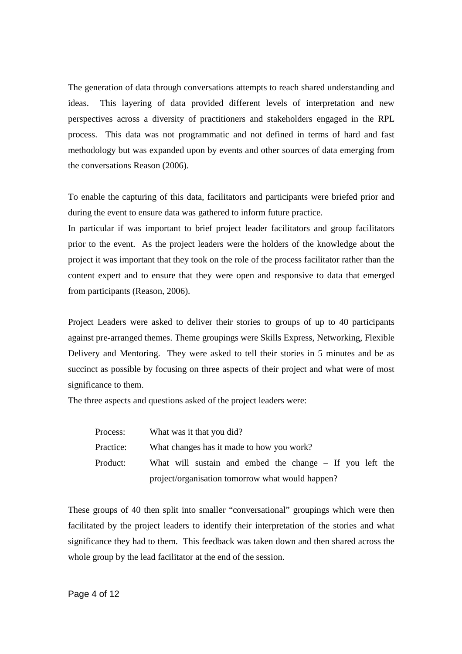The generation of data through conversations attempts to reach shared understanding and ideas. This layering of data provided different levels of interpretation and new perspectives across a diversity of practitioners and stakeholders engaged in the RPL process. This data was not programmatic and not defined in terms of hard and fast methodology but was expanded upon by events and other sources of data emerging from the conversations Reason (2006).

To enable the capturing of this data, facilitators and participants were briefed prior and during the event to ensure data was gathered to inform future practice.

In particular if was important to brief project leader facilitators and group facilitators prior to the event. As the project leaders were the holders of the knowledge about the project it was important that they took on the role of the process facilitator rather than the content expert and to ensure that they were open and responsive to data that emerged from participants (Reason, 2006).

Project Leaders were asked to deliver their stories to groups of up to 40 participants against pre-arranged themes. Theme groupings were Skills Express, Networking, Flexible Delivery and Mentoring. They were asked to tell their stories in 5 minutes and be as succinct as possible by focusing on three aspects of their project and what were of most significance to them.

The three aspects and questions asked of the project leaders were:

| Process:  | What was it that you did?                                  |
|-----------|------------------------------------------------------------|
| Practice: | What changes has it made to how you work?                  |
| Product:  | What will sustain and embed the change $-$ If you left the |
|           | project/organisation tomorrow what would happen?           |

These groups of 40 then split into smaller "conversational" groupings which were then facilitated by the project leaders to identify their interpretation of the stories and what significance they had to them. This feedback was taken down and then shared across the whole group by the lead facilitator at the end of the session.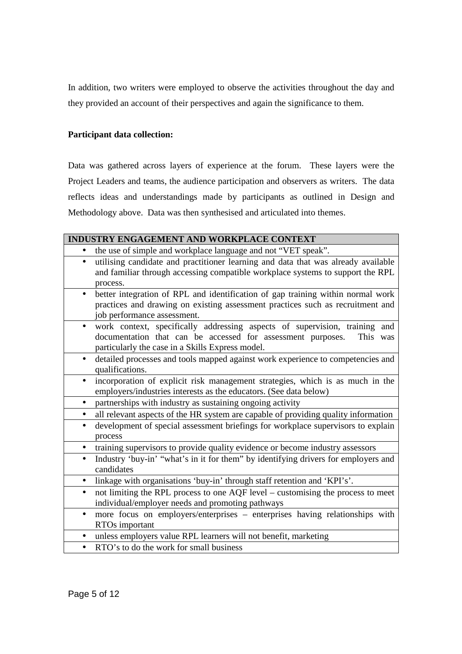In addition, two writers were employed to observe the activities throughout the day and they provided an account of their perspectives and again the significance to them.

## **Participant data collection:**

Data was gathered across layers of experience at the forum. These layers were the Project Leaders and teams, the audience participation and observers as writers. The data reflects ideas and understandings made by participants as outlined in Design and Methodology above. Data was then synthesised and articulated into themes.

|           | INDUSTRY ENGAGEMENT AND WORKPLACE CONTEXT                                                                                                                                                                 |
|-----------|-----------------------------------------------------------------------------------------------------------------------------------------------------------------------------------------------------------|
|           | the use of simple and workplace language and not "VET speak".                                                                                                                                             |
| $\bullet$ | utilising candidate and practitioner learning and data that was already available<br>and familiar through accessing compatible workplace systems to support the RPL<br>process.                           |
| $\bullet$ | better integration of RPL and identification of gap training within normal work<br>practices and drawing on existing assessment practices such as recruitment and<br>job performance assessment.          |
| $\bullet$ | work context, specifically addressing aspects of supervision, training and<br>documentation that can be accessed for assessment purposes.<br>This was<br>particularly the case in a Skills Express model. |
| $\bullet$ | detailed processes and tools mapped against work experience to competencies and<br>qualifications.                                                                                                        |
|           | incorporation of explicit risk management strategies, which is as much in the<br>employers/industries interests as the educators. (See data below)                                                        |
| $\bullet$ | partnerships with industry as sustaining ongoing activity                                                                                                                                                 |
| $\bullet$ | all relevant aspects of the HR system are capable of providing quality information                                                                                                                        |
| $\bullet$ | development of special assessment briefings for workplace supervisors to explain<br>process                                                                                                               |
|           | training supervisors to provide quality evidence or become industry assessors                                                                                                                             |
| $\bullet$ | Industry 'buy-in' "what's in it for them" by identifying drivers for employers and<br>candidates                                                                                                          |
| $\bullet$ | linkage with organisations 'buy-in' through staff retention and 'KPI's'.                                                                                                                                  |
| $\bullet$ | not limiting the RPL process to one AQF level – customising the process to meet<br>individual/employer needs and promoting pathways                                                                       |
| $\bullet$ | more focus on employers/enterprises – enterprises having relationships with<br>RTOs important                                                                                                             |
|           | unless employers value RPL learners will not benefit, marketing                                                                                                                                           |
| $\bullet$ | RTO's to do the work for small business                                                                                                                                                                   |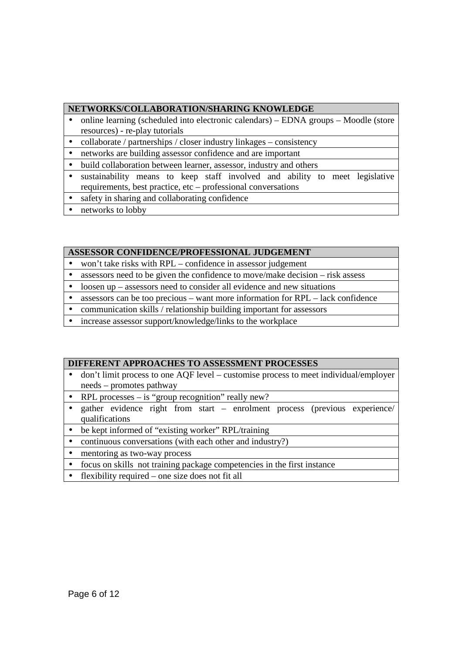## **NETWORKS/COLLABORATION/SHARING KNOWLEDGE**

- online learning (scheduled into electronic calendars) EDNA groups Moodle (store resources) - re-play tutorials
- collaborate / partnerships / closer industry linkages consistency
- networks are building assessor confidence and are important
- build collaboration between learner, assessor, industry and others
- sustainability means to keep staff involved and ability to meet legislative requirements, best practice, etc – professional conversations
- safety in sharing and collaborating confidence
- networks to lobby

## **ASSESSOR CONFIDENCE/PROFESSIONAL JUDGEMENT**

- won't take risks with RPL confidence in assessor judgement
- assessors need to be given the confidence to move/make decision risk assess
- loosen up assessors need to consider all evidence and new situations
- assessors can be too precious want more information for RPL lack confidence
- communication skills / relationship building important for assessors
- increase assessor support/knowledge/links to the workplace

### **DIFFERENT APPROACHES TO ASSESSMENT PROCESSES**

- don't limit process to one AQF level customise process to meet individual/employer needs – promotes pathway
- RPL processes is "group recognition" really new?
- gather evidence right from start enrolment process (previous experience/ qualifications
- be kept informed of "existing worker" RPL/training
- continuous conversations (with each other and industry?)
- mentoring as two-way process
- focus on skills not training package competencies in the first instance
- flexibility required one size does not fit all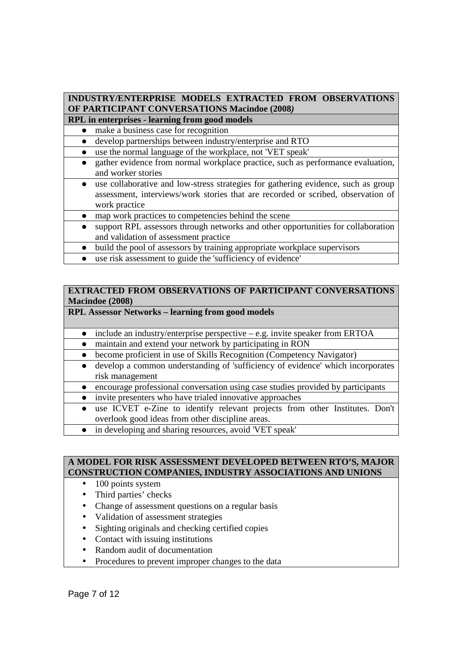# **INDUSTRY/ENTERPRISE MODELS EXTRACTED FROM OBSERVATIONS OF PARTICIPANT CONVERSATIONS Macindoe (2008***)*

- **RPL in enterprises learning from good models** 
	- make a business case for recognition

develop partnerships between industry/enterprise and RTO

- use the normal language of the workplace, not 'VET speak'
- gather evidence from normal workplace practice, such as performance evaluation, and worker stories
- use collaborative and low-stress strategies for gathering evidence, such as group assessment, interviews/work stories that are recorded or scribed, observation of work practice
- map work practices to competencies behind the scene
- support RPL assessors through networks and other opportunities for collaboration and validation of assessment practice
	- build the pool of assessors by training appropriate workplace supervisors
	- use risk assessment to guide the 'sufficiency of evidence'

## **EXTRACTED FROM OBSERVATIONS OF PARTICIPANT CONVERSATIONS Macindoe (2008)**

# **RPL Assessor Networks – learning from good models**

- include an industry/enterprise perspective e.g. invite speaker from ERTOA
- maintain and extend your network by participating in RON
- become proficient in use of Skills Recognition (Competency Navigator)
- develop a common understanding of 'sufficiency of evidence' which incorporates risk management
- encourage professional conversation using case studies provided by participants
- invite presenters who have trialed innovative approaches
- use ICVET e-Zine to identify relevant projects from other Institutes. Don't overlook good ideas from other discipline areas.
- in developing and sharing resources, avoid 'VET speak'

## **A MODEL FOR RISK ASSESSMENT DEVELOPED BETWEEN RTO'S, MAJOR CONSTRUCTION COMPANIES, INDUSTRY ASSOCIATIONS AND UNIONS**

- 100 points system
- Third parties' checks
- Change of assessment questions on a regular basis
- Validation of assessment strategies
- Sighting originals and checking certified copies
- Contact with issuing institutions
- Random audit of documentation
- Procedures to prevent improper changes to the data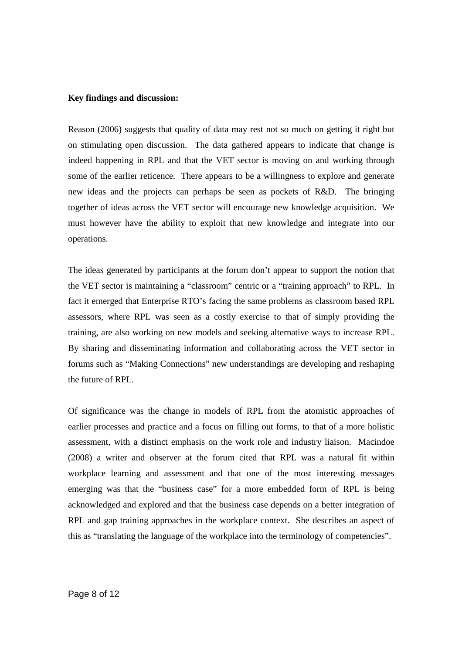### **Key findings and discussion:**

Reason (2006) suggests that quality of data may rest not so much on getting it right but on stimulating open discussion. The data gathered appears to indicate that change is indeed happening in RPL and that the VET sector is moving on and working through some of the earlier reticence. There appears to be a willingness to explore and generate new ideas and the projects can perhaps be seen as pockets of R&D. The bringing together of ideas across the VET sector will encourage new knowledge acquisition. We must however have the ability to exploit that new knowledge and integrate into our operations.

The ideas generated by participants at the forum don't appear to support the notion that the VET sector is maintaining a "classroom" centric or a "training approach" to RPL. In fact it emerged that Enterprise RTO's facing the same problems as classroom based RPL assessors, where RPL was seen as a costly exercise to that of simply providing the training, are also working on new models and seeking alternative ways to increase RPL. By sharing and disseminating information and collaborating across the VET sector in forums such as "Making Connections" new understandings are developing and reshaping the future of RPL.

Of significance was the change in models of RPL from the atomistic approaches of earlier processes and practice and a focus on filling out forms, to that of a more holistic assessment, with a distinct emphasis on the work role and industry liaison. Macindoe (2008) a writer and observer at the forum cited that RPL was a natural fit within workplace learning and assessment and that one of the most interesting messages emerging was that the "business case" for a more embedded form of RPL is being acknowledged and explored and that the business case depends on a better integration of RPL and gap training approaches in the workplace context. She describes an aspect of this as "translating the language of the workplace into the terminology of competencies".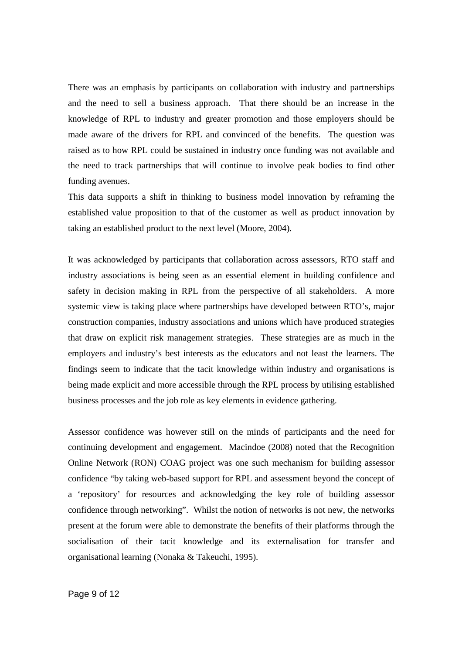There was an emphasis by participants on collaboration with industry and partnerships and the need to sell a business approach. That there should be an increase in the knowledge of RPL to industry and greater promotion and those employers should be made aware of the drivers for RPL and convinced of the benefits. The question was raised as to how RPL could be sustained in industry once funding was not available and the need to track partnerships that will continue to involve peak bodies to find other funding avenues.

This data supports a shift in thinking to business model innovation by reframing the established value proposition to that of the customer as well as product innovation by taking an established product to the next level (Moore, 2004).

It was acknowledged by participants that collaboration across assessors, RTO staff and industry associations is being seen as an essential element in building confidence and safety in decision making in RPL from the perspective of all stakeholders. A more systemic view is taking place where partnerships have developed between RTO's, major construction companies, industry associations and unions which have produced strategies that draw on explicit risk management strategies. These strategies are as much in the employers and industry's best interests as the educators and not least the learners. The findings seem to indicate that the tacit knowledge within industry and organisations is being made explicit and more accessible through the RPL process by utilising established business processes and the job role as key elements in evidence gathering.

Assessor confidence was however still on the minds of participants and the need for continuing development and engagement. Macindoe (2008) noted that the Recognition Online Network (RON) COAG project was one such mechanism for building assessor confidence "by taking web-based support for RPL and assessment beyond the concept of a 'repository' for resources and acknowledging the key role of building assessor confidence through networking". Whilst the notion of networks is not new, the networks present at the forum were able to demonstrate the benefits of their platforms through the socialisation of their tacit knowledge and its externalisation for transfer and organisational learning (Nonaka & Takeuchi, 1995).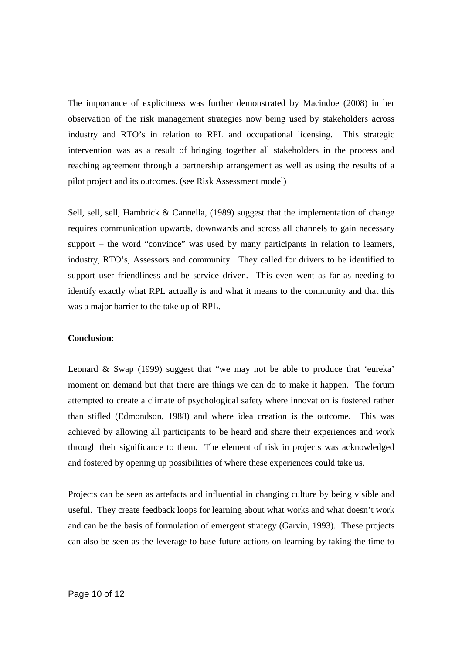The importance of explicitness was further demonstrated by Macindoe (2008) in her observation of the risk management strategies now being used by stakeholders across industry and RTO's in relation to RPL and occupational licensing. This strategic intervention was as a result of bringing together all stakeholders in the process and reaching agreement through a partnership arrangement as well as using the results of a pilot project and its outcomes. (see Risk Assessment model)

Sell, sell, sell, Hambrick & Cannella, (1989) suggest that the implementation of change requires communication upwards, downwards and across all channels to gain necessary support – the word "convince" was used by many participants in relation to learners, industry, RTO's, Assessors and community. They called for drivers to be identified to support user friendliness and be service driven. This even went as far as needing to identify exactly what RPL actually is and what it means to the community and that this was a major barrier to the take up of RPL.

### **Conclusion:**

Leonard & Swap (1999) suggest that "we may not be able to produce that 'eureka' moment on demand but that there are things we can do to make it happen. The forum attempted to create a climate of psychological safety where innovation is fostered rather than stifled (Edmondson, 1988) and where idea creation is the outcome. This was achieved by allowing all participants to be heard and share their experiences and work through their significance to them. The element of risk in projects was acknowledged and fostered by opening up possibilities of where these experiences could take us.

Projects can be seen as artefacts and influential in changing culture by being visible and useful. They create feedback loops for learning about what works and what doesn't work and can be the basis of formulation of emergent strategy (Garvin, 1993). These projects can also be seen as the leverage to base future actions on learning by taking the time to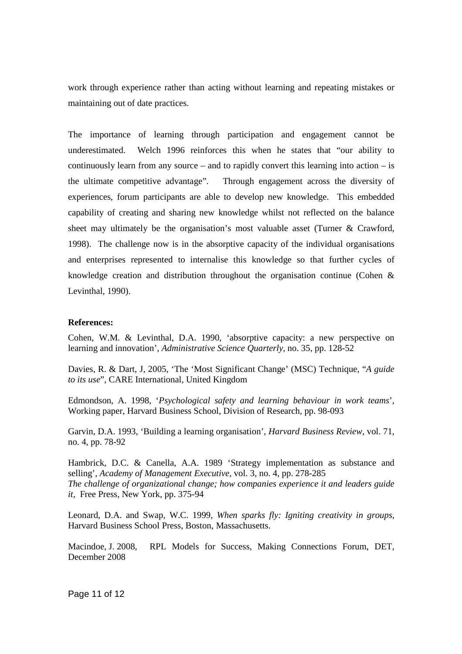work through experience rather than acting without learning and repeating mistakes or maintaining out of date practices.

The importance of learning through participation and engagement cannot be underestimated. Welch 1996 reinforces this when he states that "our ability to continuously learn from any source – and to rapidly convert this learning into action – is the ultimate competitive advantage". Through engagement across the diversity of experiences, forum participants are able to develop new knowledge. This embedded capability of creating and sharing new knowledge whilst not reflected on the balance sheet may ultimately be the organisation's most valuable asset (Turner & Crawford, 1998). The challenge now is in the absorptive capacity of the individual organisations and enterprises represented to internalise this knowledge so that further cycles of knowledge creation and distribution throughout the organisation continue (Cohen & Levinthal, 1990).

### **References:**

Cohen, W.M. & Levinthal, D.A. 1990, 'absorptive capacity: a new perspective on learning and innovation', *Administrative Science Quarterly,* no. 35, pp. 128-52

Davies, R. & Dart, J, 2005, 'The 'Most Significant Change' (MSC) Technique, "*A guide to its use*", CARE International, United Kingdom

Edmondson, A. 1998, '*Psychological safety and learning behaviour in work teams*', Working paper, Harvard Business School, Division of Research, pp. 98-093

Garvin, D.A. 1993, 'Building a learning organisation', *Harvard Business Review*, vol. 71, no. 4, pp. 78-92

Hambrick, D.C. & Canella, A.A. 1989 'Strategy implementation as substance and selling', *Academy of Management Executive,* vol. 3, no. 4, pp. 278-285 *The challenge of organizational change; how companies experience it and leaders guide it,* Free Press, New York, pp. 375-94

Leonard, D.A. and Swap, W.C. 1999, *When sparks fly: Igniting creativity in groups*, Harvard Business School Press, Boston, Massachusetts.

Macindoe, J. 2008, RPL Models for Success, Making Connections Forum, DET, December 2008

Page 11 of 12